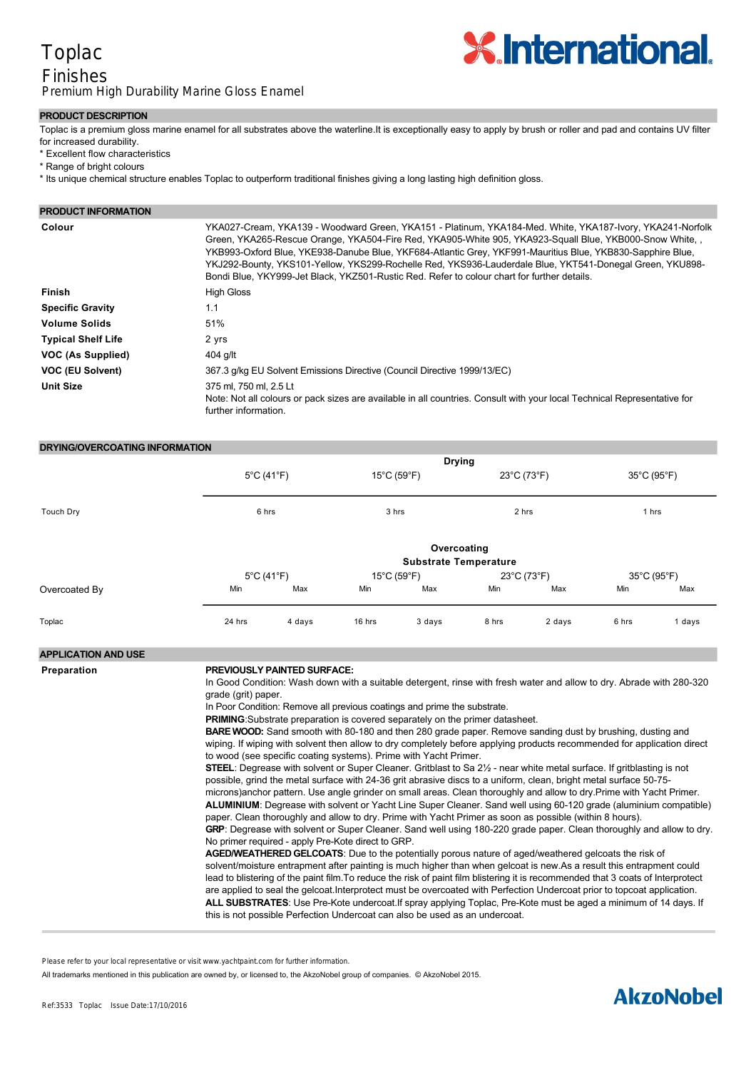# Toplac

# Finishes Premium High Durability Marine Gloss Enamel



### **PRODUCT DESCRIPTION**

Toplac is a premium gloss marine enamel for all substrates above the waterline.It is exceptionally easy to apply by brush or roller and pad and contains UV filter for increased durability.

- \* Excellent flow characteristics
- \* Range of bright colours
- \* Its unique chemical structure enables Toplac to outperform traditional finishes giving a long lasting high definition gloss.

| <b>PRODUCT INFORMATION</b> |                                                                                                                                                                                                                                                                                                                                                                                                                                                                                                                                              |
|----------------------------|----------------------------------------------------------------------------------------------------------------------------------------------------------------------------------------------------------------------------------------------------------------------------------------------------------------------------------------------------------------------------------------------------------------------------------------------------------------------------------------------------------------------------------------------|
| Colour                     | YKA027-Cream, YKA139 - Woodward Green, YKA151 - Platinum, YKA184-Med. White, YKA187-Ivory, YKA241-Norfolk<br>Green, YKA265-Rescue Orange, YKA504-Fire Red, YKA905-White 905, YKA923-Squall Blue, YKB000-Snow White,<br>YKB993-Oxford Blue, YKE938-Danube Blue, YKF684-Atlantic Grey, YKF991-Mauritius Blue, YKB830-Sapphire Blue,<br>YKJ292-Bounty, YKS101-Yellow, YKS299-Rochelle Red, YKS936-Lauderdale Blue, YKT541-Donegal Green, YKU898-<br>Bondi Blue, YKY999-Jet Black, YKZ501-Rustic Red. Refer to colour chart for further details. |
| Finish                     | <b>High Gloss</b>                                                                                                                                                                                                                                                                                                                                                                                                                                                                                                                            |
| <b>Specific Gravity</b>    | 1.1                                                                                                                                                                                                                                                                                                                                                                                                                                                                                                                                          |
| <b>Volume Solids</b>       | 51%                                                                                                                                                                                                                                                                                                                                                                                                                                                                                                                                          |
| <b>Typical Shelf Life</b>  | 2 yrs                                                                                                                                                                                                                                                                                                                                                                                                                                                                                                                                        |
| VOC (As Supplied)          | 404 g/lt                                                                                                                                                                                                                                                                                                                                                                                                                                                                                                                                     |
| VOC (EU Solvent)           | 367.3 g/kg EU Solvent Emissions Directive (Council Directive 1999/13/EC)                                                                                                                                                                                                                                                                                                                                                                                                                                                                     |
| <b>Unit Size</b>           | 375 ml, 750 ml, 2.5 Lt<br>Note: Not all colours or pack sizes are available in all countries. Consult with your local Technical Representative for<br>further information.                                                                                                                                                                                                                                                                                                                                                                   |

## **DRYING/OVERCOATING INFORMATION**

|               | <b>Drying</b>                               |                                 |                                  |        |             |        |             |        |  |
|---------------|---------------------------------------------|---------------------------------|----------------------------------|--------|-------------|--------|-------------|--------|--|
|               |                                             | $5^{\circ}$ C (41 $^{\circ}$ F) | $15^{\circ}$ C (59 $^{\circ}$ F) |        | 23°C (73°F) |        | 35°C (95°F) |        |  |
| Touch Dry     | 6 hrs                                       |                                 | 3 hrs                            |        | 2 hrs       |        | 1 hrs       |        |  |
|               | Overcoating<br><b>Substrate Temperature</b> |                                 |                                  |        |             |        |             |        |  |
|               | $5^{\circ}$ C (41 $^{\circ}$ F)             |                                 | $15^{\circ}$ C (59 $^{\circ}$ F) |        | 23°C (73°F) |        | 35°C (95°F) |        |  |
| Overcoated By | Min                                         | Max                             | Min                              | Max    | Min         | Max    | Min         | Max    |  |
| Toplac        | 24 hrs                                      | 4 days                          | 16 hrs                           | 3 days | 8 hrs       | 2 days | 6 hrs       | 1 days |  |

# **APPLICATION AND USE**

#### **Preparation PREVIOUSLY PAINTED SURFACE:**

In Good Condition: Wash down with a suitable detergent, rinse with fresh water and allow to dry. Abrade with 280-320 grade (grit) paper.

In Poor Condition: Remove all previous coatings and prime the substrate.

**PRIMING**:Substrate preparation is covered separately on the primer datasheet.

**Method** Sand the undercoat smooth with 320400 grade (grit) wet or dry paper. Remove dust with a dust wipe. Apply 13 coats.

**BARE WOOD:** Sand smooth with 80-180 and then 280 grade paper. Remove sanding dust by brushing, dusting and wiping. If wiping with solvent then allow to dry completely before applying products recommended for application direct to wood (see specific coating systems). Prime with Yacht Primer.

**STEEL:** Degrease with solvent or Super Cleaner. Gritblast to Sa 2½ - near white metal surface. If gritblasting is not possible, grind the metal surface with 24-36 grit abrasive discs to a uniform, clean, bright metal surface 50-75microns)anchor pattern. Use angle grinder on small areas. Clean thoroughly and allow to dry.Prime with Yacht Primer. ALUMINIUM: Degrease with solvent or Yacht Line Super Cleaner. Sand well using 60-120 grade (aluminium compatible) paper. Clean thoroughly and allow to dry. Prime with Yacht Primer as soon as possible (within 8 hours). GRP: Degrease with solvent or Super Cleaner. Sand well using 180-220 grade paper. Clean thoroughly and allow to dry.

No primer required - apply Pre-Kote direct to GRP.

**AGED/WEATHERED GELCOATS**: Due to the potentially porous nature of aged/weathered gelcoats the risk of solvent/moisture entrapment after painting is much higher than when gelcoat is new.As a result this entrapment could lead to blistering of the paint film.To reduce the risk of paint film blistering it is recommended that 3 coats of Interprotect are applied to seal the gelcoat.Interprotect must be overcoated with Perfection Undercoat prior to topcoat application. ALL SUBSTRATES: Use Pre-Kote undercoat.If spray applying Toplac, Pre-Kote must be aged a minimum of 14 days. If this is not possible Perfection Undercoat can also be used as an undercoat.

Please refer to your local representative or visit www.yachtpaint.com for further information.

All trademarks mentioned in this publication are owned by, or licensed to, the AkzoNobel group of companies. © AkzoNobel 2015. **Cleaner** Thinner No.1.